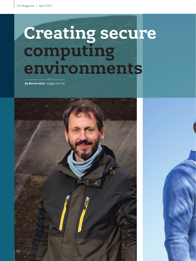# **Creating secure computing environments**

**By Bennie Mols** Images Ivar Pel

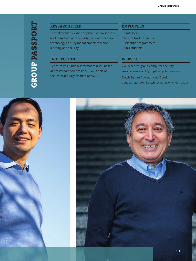#### RESEARCH FIELD

Formal methods; cyber-physical system security (including hardware security); secure processor technology and key management; machine learning and security

### INSTITUTION

Centrum Wiskunde & Informatica (CWI) based at Amsterdam Science Park. CWI is part of the Institutes Organisation of NWO.

#### EMPLOYEES

- 3 Professors
- 1 tenure track researcher
- 3 scientific programmers
- 5 PhD students

#### **WEBSITE**

CWI research group computer security: www.cwi.nl/research/groups/computer-security

Dutch Secure Autonomous Cloud: portals.project.cwi.nl/dutch-secure-autonomous-cloud/



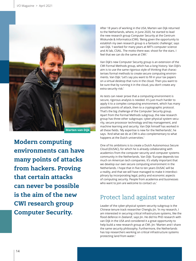

**Modern computing environments can have many points of attacks from hackers. Proving that certain attacks can never be possible is the aim of the new CWI research group Computer Security.**

After 18 years of working in the USA, Marten van Dijk returned to the Netherlands, where, in June 2020, he started to lead the new research group Computer Security at the Centrum Wiskunde & Informatica (CWI). 'Being given the opportunity to establish my own research group is a fantastic challenge', says van Dijk. 'I worked for many years at MIT's computer science and AI lab, CSAIL. The motto there was: shoot for the stars. I feel that we can do the same at CWI.'

Van Dijk's new Computer Security group is an extension of the CWI Formal Methods group, which has a long history. Van Dijk's aim is to use the same rigorous style of thinking that characterises formal methods to create secure computing environments. Van Dijk: 'Let's say you want to fill in your tax papers on a virtual desktop that runs in the cloud. Then you want to be sure that by running it in the cloud, you don't create any extra security risk.'

As tests can never prove that a computing environment is secure, rigorous analysis is needed. It's just much harder to apply it to a complex computing environment, which has many possible points of attack, then to a cryptographic protocol. That's the big challenge of the Computer Security group. Apart from the Formal Methods subgroup, the new research group has three other subgroups: cyber-physical system security, secure processor technology and key management, and machine learning and security. Van Dijk himself has worked in all these fields. 'My expertise is new for the Netherlands', he says. 'And what we do at CWI is also complementary to what happens at the Dutch universities.'

One of his ambitions is to create a Dutch Autonomous Secure Cloud (DUSAC), for which he is already collaborating with academics from the computer security and computer systems community in the Netherlands. Van Dijk: 'Europe depends too much on American tech companies. It's vitally important that we develop our own secure computing environment in the Netherlands. I hope that in five to ten years DUSAC will be a reality, and that we will have managed to make it interdisciplinary by incorporating legal, policy and economic aspects of computing security. People from academia and businesses who want to join are welcome to contact us.'

## Protect land against water

Leader of the cyber-physical system security subgroup is the Chinese tenure track researcher Chenglu Jin. 'In my research, I am interested in securing critical infrastructure systems, like the flood defence in Zeeland', says Jin. He did his PhD research with van Dijk in the USA and considered it a great opportunity to help build a new research group at CWI. Jin: 'Marten and I share the same security philosophy. Furthermore, the Netherlands has top researchers working on critical infrastructure systems protecting land from water.'